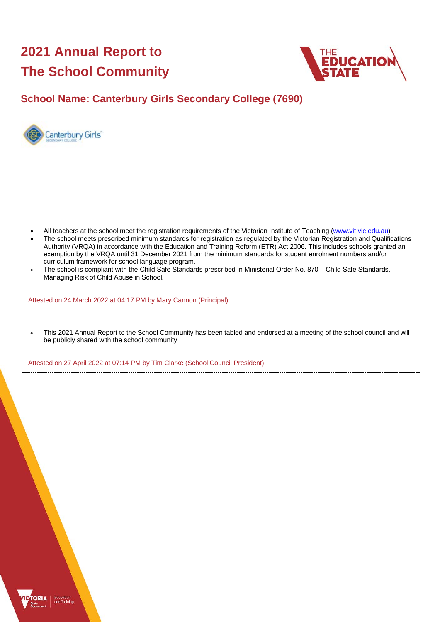# **2021 Annual Report to The School Community**



## **School Name: Canterbury Girls Secondary College (7690)**



- All teachers at the school meet the registration requirements of the Victorian Institute of Teaching [\(www.vit.vic.edu.au\)](https://www.vit.vic.edu.au/).
- The school meets prescribed minimum standards for registration as regulated by the Victorian Registration and Qualifications Authority (VRQA) in accordance with the Education and Training Reform (ETR) Act 2006. This includes schools granted an exemption by the VRQA until 31 December 2021 from the minimum standards for student enrolment numbers and/or curriculum framework for school language program.
- The school is compliant with the Child Safe Standards prescribed in Ministerial Order No. 870 Child Safe Standards, Managing Risk of Child Abuse in School.

Attested on 24 March 2022 at 04:17 PM by Mary Cannon (Principal)

• This 2021 Annual Report to the School Community has been tabled and endorsed at a meeting of the school council and will be publicly shared with the school community

Attested on 27 April 2022 at 07:14 PM by Tim Clarke (School Council President)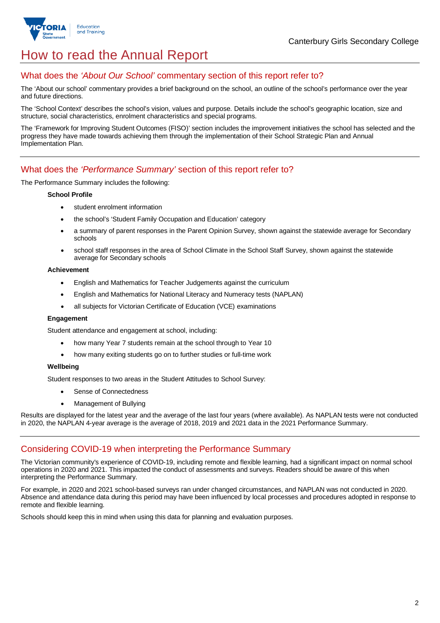



## How to read the Annual Report

## What does the *'About Our School'* commentary section of this report refer to?

The 'About our school' commentary provides a brief background on the school, an outline of the school's performance over the year and future directions.

The 'School Context' describes the school's vision, values and purpose. Details include the school's geographic location, size and structure, social characteristics, enrolment characteristics and special programs.

The 'Framework for Improving Student Outcomes (FISO)' section includes the improvement initiatives the school has selected and the progress they have made towards achieving them through the implementation of their School Strategic Plan and Annual Implementation Plan.

### What does the *'Performance Summary'* section of this report refer to?

The Performance Summary includes the following:

#### **School Profile**

- student enrolment information
- the school's 'Student Family Occupation and Education' category
- a summary of parent responses in the Parent Opinion Survey, shown against the statewide average for Secondary schools
- school staff responses in the area of School Climate in the School Staff Survey, shown against the statewide average for Secondary schools

#### **Achievement**

- English and Mathematics for Teacher Judgements against the curriculum
- English and Mathematics for National Literacy and Numeracy tests (NAPLAN)
- all subjects for Victorian Certificate of Education (VCE) examinations

#### **Engagement**

Student attendance and engagement at school, including:

- how many Year 7 students remain at the school through to Year 10
- how many exiting students go on to further studies or full-time work

#### **Wellbeing**

Student responses to two areas in the Student Attitudes to School Survey:

- Sense of Connectedness
- Management of Bullying

Results are displayed for the latest year and the average of the last four years (where available). As NAPLAN tests were not conducted in 2020, the NAPLAN 4-year average is the average of 2018, 2019 and 2021 data in the 2021 Performance Summary.

#### Considering COVID-19 when interpreting the Performance Summary

The Victorian community's experience of COVID-19, including remote and flexible learning, had a significant impact on normal school operations in 2020 and 2021. This impacted the conduct of assessments and surveys. Readers should be aware of this when interpreting the Performance Summary.

For example, in 2020 and 2021 school-based surveys ran under changed circumstances, and NAPLAN was not conducted in 2020. Absence and attendance data during this period may have been influenced by local processes and procedures adopted in response to remote and flexible learning.

Schools should keep this in mind when using this data for planning and evaluation purposes.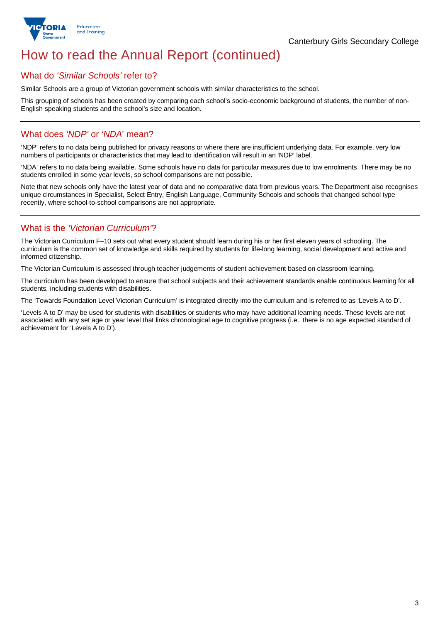

## How to read the Annual Report (continued)

#### What do *'Similar Schools'* refer to?

Similar Schools are a group of Victorian government schools with similar characteristics to the school.

This grouping of schools has been created by comparing each school's socio-economic background of students, the number of non-English speaking students and the school's size and location.

## What does *'NDP'* or '*NDA*' mean?

'NDP' refers to no data being published for privacy reasons or where there are insufficient underlying data. For example, very low numbers of participants or characteristics that may lead to identification will result in an 'NDP' label.

'NDA' refers to no data being available. Some schools have no data for particular measures due to low enrolments. There may be no students enrolled in some year levels, so school comparisons are not possible.

Note that new schools only have the latest year of data and no comparative data from previous years. The Department also recognises unique circumstances in Specialist, Select Entry, English Language, Community Schools and schools that changed school type recently, where school-to-school comparisons are not appropriate.

## What is the *'Victorian Curriculum'*?

The Victorian Curriculum F–10 sets out what every student should learn during his or her first eleven years of schooling. The curriculum is the common set of knowledge and skills required by students for life-long learning, social development and active and informed citizenship.

The Victorian Curriculum is assessed through teacher judgements of student achievement based on classroom learning.

The curriculum has been developed to ensure that school subjects and their achievement standards enable continuous learning for all students, including students with disabilities.

The 'Towards Foundation Level Victorian Curriculum' is integrated directly into the curriculum and is referred to as 'Levels A to D'.

'Levels A to D' may be used for students with disabilities or students who may have additional learning needs. These levels are not associated with any set age or year level that links chronological age to cognitive progress (i.e., there is no age expected standard of achievement for 'Levels A to D').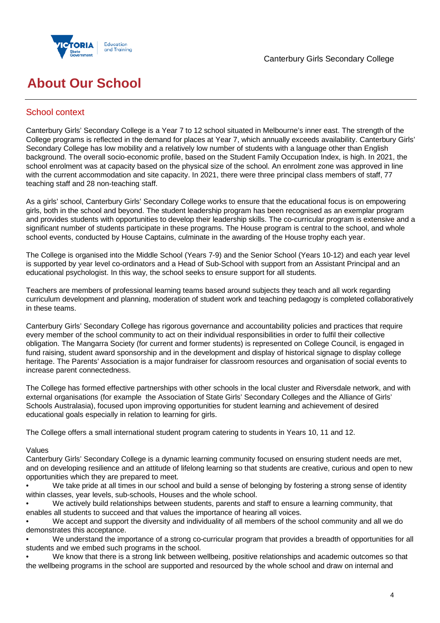



## **About Our School**

## School context

Canterbury Girls' Secondary College is a Year 7 to 12 school situated in Melbourne's inner east. The strength of the College programs is reflected in the demand for places at Year 7, which annually exceeds availability. Canterbury Girls' Secondary College has low mobility and a relatively low number of students with a language other than English background. The overall socio-economic profile, based on the Student Family Occupation Index, is high. In 2021, the school enrolment was at capacity based on the physical size of the school. An enrolment zone was approved in line with the current accommodation and site capacity. In 2021, there were three principal class members of staff, 77 teaching staff and 28 non-teaching staff.

As a girls' school, Canterbury Girls' Secondary College works to ensure that the educational focus is on empowering girls, both in the school and beyond. The student leadership program has been recognised as an exemplar program and provides students with opportunities to develop their leadership skills. The co-curricular program is extensive and a significant number of students participate in these programs. The House program is central to the school, and whole school events, conducted by House Captains, culminate in the awarding of the House trophy each year.

The College is organised into the Middle School (Years 7-9) and the Senior School (Years 10-12) and each year level is supported by year level co-ordinators and a Head of Sub-School with support from an Assistant Principal and an educational psychologist. In this way, the school seeks to ensure support for all students.

Teachers are members of professional learning teams based around subjects they teach and all work regarding curriculum development and planning, moderation of student work and teaching pedagogy is completed collaboratively in these teams.

Canterbury Girls' Secondary College has rigorous governance and accountability policies and practices that require every member of the school community to act on their individual responsibilities in order to fulfil their collective obligation. The Mangarra Society (for current and former students) is represented on College Council, is engaged in fund raising, student award sponsorship and in the development and display of historical signage to display college heritage. The Parents' Association is a major fundraiser for classroom resources and organisation of social events to increase parent connectedness.

The College has formed effective partnerships with other schools in the local cluster and Riversdale network, and with external organisations (for example the Association of State Girls' Secondary Colleges and the Alliance of Girls' Schools Australasia), focused upon improving opportunities for student learning and achievement of desired educational goals especially in relation to learning for girls.

The College offers a small international student program catering to students in Years 10, 11 and 12.

#### Values

Canterbury Girls' Secondary College is a dynamic learning community focused on ensuring student needs are met, and on developing resilience and an attitude of lifelong learning so that students are creative, curious and open to new opportunities which they are prepared to meet.

We take pride at all times in our school and build a sense of belonging by fostering a strong sense of identity within classes, year levels, sub-schools, Houses and the whole school.

• We actively build relationships between students, parents and staff to ensure a learning community, that enables all students to succeed and that values the importance of hearing all voices.

• We accept and support the diversity and individuality of all members of the school community and all we do demonstrates this acceptance.

• We understand the importance of a strong co-curricular program that provides a breadth of opportunities for all students and we embed such programs in the school.

• We know that there is a strong link between wellbeing, positive relationships and academic outcomes so that the wellbeing programs in the school are supported and resourced by the whole school and draw on internal and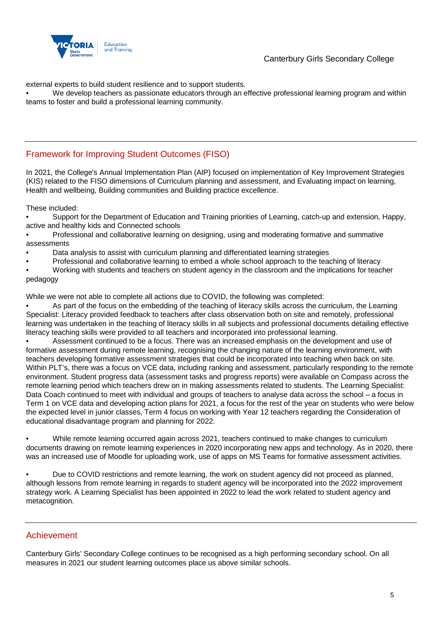

external experts to build student resilience and to support students.

• We develop teachers as passionate educators through an effective professional learning program and within teams to foster and build a professional learning community.

## Framework for Improving Student Outcomes (FISO)

In 2021, the College's Annual Implementation Plan (AIP) focused on implementation of Key Improvement Strategies (KIS) related to the FISO dimensions of Curriculum planning and assessment, and Evaluating impact on learning, Health and wellbeing, Building communities and Building practice excellence.

These included:

• Support for the Department of Education and Training priorities of Learning, catch-up and extension, Happy, active and healthy kids and Connected schools

- Professional and collaborative learning on designing, using and moderating formative and summative assessments
- Data analysis to assist with curriculum planning and differentiated learning strategies
- Professional and collaborative learning to embed a whole school approach to the teaching of literacy
- Working with students and teachers on student agency in the classroom and the implications for teacher pedagogy

While we were not able to complete all actions due to COVID, the following was completed:

• As part of the focus on the embedding of the teaching of literacy skills across the curriculum, the Learning Specialist: Literacy provided feedback to teachers after class observation both on site and remotely, professional learning was undertaken in the teaching of literacy skills in all subjects and professional documents detailing effective literacy teaching skills were provided to all teachers and incorporated into professional learning.

• Assessment continued to be a focus. There was an increased emphasis on the development and use of formative assessment during remote learning, recognising the changing nature of the learning environment, with teachers developing formative assessment strategies that could be incorporated into teaching when back on site. Within PLT's, there was a focus on VCE data, including ranking and assessment, particularly responding to the remote environment. Student progress data (assessment tasks and progress reports) were available on Compass across the remote learning period which teachers drew on in making assessments related to students. The Learning Specialist: Data Coach continued to meet with individual and groups of teachers to analyse data across the school – a focus in Term 1 on VCE data and developing action plans for 2021, a focus for the rest of the year on students who were below the expected level in junior classes, Term 4 focus on working with Year 12 teachers regarding the Consideration of educational disadvantage program and planning for 2022.

• While remote learning occurred again across 2021, teachers continued to make changes to curriculum documents drawing on remote learning experiences in 2020 incorporating new apps and technology. As in 2020, there was an increased use of Moodle for uploading work, use of apps on MS Teams for formative assessment activities.

• Due to COVID restrictions and remote learning, the work on student agency did not proceed as planned, although lessons from remote learning in regards to student agency will be incorporated into the 2022 improvement strategy work. A Learning Specialist has been appointed in 2022 to lead the work related to student agency and metacognition.

### Achievement

Canterbury Girls' Secondary College continues to be recognised as a high performing secondary school. On all measures in 2021 our student learning outcomes place us above similar schools.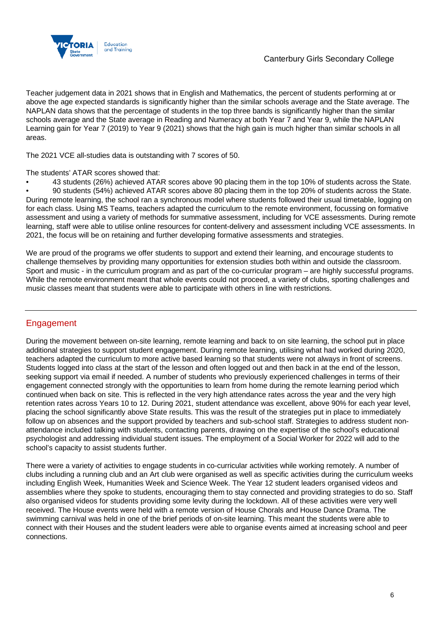

Teacher judgement data in 2021 shows that in English and Mathematics, the percent of students performing at or above the age expected standards is significantly higher than the similar schools average and the State average. The NAPLAN data shows that the percentage of students in the top three bands is significantly higher than the similar schools average and the State average in Reading and Numeracy at both Year 7 and Year 9, while the NAPLAN Learning gain for Year 7 (2019) to Year 9 (2021) shows that the high gain is much higher than similar schools in all areas.

The 2021 VCE all-studies data is outstanding with 7 scores of 50.

The students' ATAR scores showed that:

• 43 students (26%) achieved ATAR scores above 90 placing them in the top 10% of students across the State.

• 90 students (54%) achieved ATAR scores above 80 placing them in the top 20% of students across the State. During remote learning, the school ran a synchronous model where students followed their usual timetable, logging on for each class. Using MS Teams, teachers adapted the curriculum to the remote environment, focussing on formative assessment and using a variety of methods for summative assessment, including for VCE assessments. During remote learning, staff were able to utilise online resources for content-delivery and assessment including VCE assessments. In 2021, the focus will be on retaining and further developing formative assessments and strategies.

We are proud of the programs we offer students to support and extend their learning, and encourage students to challenge themselves by providing many opportunities for extension studies both within and outside the classroom. Sport and music - in the curriculum program and as part of the co-curricular program – are highly successful programs. While the remote environment meant that whole events could not proceed, a variety of clubs, sporting challenges and music classes meant that students were able to participate with others in line with restrictions.

## Engagement

During the movement between on-site learning, remote learning and back to on site learning, the school put in place additional strategies to support student engagement. During remote learning, utilising what had worked during 2020, teachers adapted the curriculum to more active based learning so that students were not always in front of screens. Students logged into class at the start of the lesson and often logged out and then back in at the end of the lesson, seeking support via email if needed. A number of students who previously experienced challenges in terms of their engagement connected strongly with the opportunities to learn from home during the remote learning period which continued when back on site. This is reflected in the very high attendance rates across the year and the very high retention rates across Years 10 to 12. During 2021, student attendance was excellent, above 90% for each year level, placing the school significantly above State results. This was the result of the strategies put in place to immediately follow up on absences and the support provided by teachers and sub-school staff. Strategies to address student nonattendance included talking with students, contacting parents, drawing on the expertise of the school's educational psychologist and addressing individual student issues. The employment of a Social Worker for 2022 will add to the school's capacity to assist students further.

There were a variety of activities to engage students in co-curricular activities while working remotely. A number of clubs including a running club and an Art club were organised as well as specific activities during the curriculum weeks including English Week, Humanities Week and Science Week. The Year 12 student leaders organised videos and assemblies where they spoke to students, encouraging them to stay connected and providing strategies to do so. Staff also organised videos for students providing some levity during the lockdown. All of these activities were very well received. The House events were held with a remote version of House Chorals and House Dance Drama. The swimming carnival was held in one of the brief periods of on-site learning. This meant the students were able to connect with their Houses and the student leaders were able to organise events aimed at increasing school and peer connections.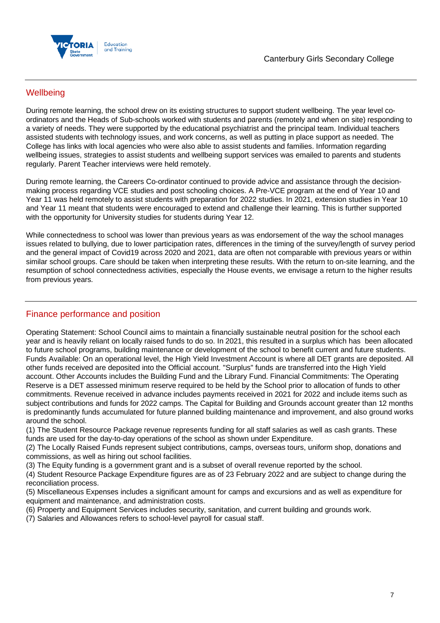

## **Wellbeing**

During remote learning, the school drew on its existing structures to support student wellbeing. The year level coordinators and the Heads of Sub-schools worked with students and parents (remotely and when on site) responding to a variety of needs. They were supported by the educational psychiatrist and the principal team. Individual teachers assisted students with technology issues, and work concerns, as well as putting in place support as needed. The College has links with local agencies who were also able to assist students and families. Information regarding wellbeing issues, strategies to assist students and wellbeing support services was emailed to parents and students regularly. Parent Teacher interviews were held remotely.

During remote learning, the Careers Co-ordinator continued to provide advice and assistance through the decisionmaking process regarding VCE studies and post schooling choices. A Pre-VCE program at the end of Year 10 and Year 11 was held remotely to assist students with preparation for 2022 studies. In 2021, extension studies in Year 10 and Year 11 meant that students were encouraged to extend and challenge their learning. This is further supported with the opportunity for University studies for students during Year 12.

While connectedness to school was lower than previous years as was endorsement of the way the school manages issues related to bullying, due to lower participation rates, differences in the timing of the survey/length of survey period and the general impact of Covid19 across 2020 and 2021, data are often not comparable with previous years or within similar school groups. Care should be taken when interpreting these results. With the return to on-site learning, and the resumption of school connectedness activities, especially the House events, we envisage a return to the higher results from previous years.

## Finance performance and position

Operating Statement: School Council aims to maintain a financially sustainable neutral position for the school each year and is heavily reliant on locally raised funds to do so. In 2021, this resulted in a surplus which has been allocated to future school programs, building maintenance or development of the school to benefit current and future students. Funds Available: On an operational level, the High Yield Investment Account is where all DET grants are deposited. All other funds received are deposited into the Official account. "Surplus" funds are transferred into the High Yield account. Other Accounts includes the Building Fund and the Library Fund. Financial Commitments: The Operating Reserve is a DET assessed minimum reserve required to be held by the School prior to allocation of funds to other commitments. Revenue received in advance includes payments received in 2021 for 2022 and include items such as subject contributions and funds for 2022 camps. The Capital for Building and Grounds account greater than 12 months is predominantly funds accumulated for future planned building maintenance and improvement, and also ground works around the school.

(1) The Student Resource Package revenue represents funding for all staff salaries as well as cash grants. These funds are used for the day-to-day operations of the school as shown under Expenditure.

(2) The Locally Raised Funds represent subject contributions, camps, overseas tours, uniform shop, donations and commissions, as well as hiring out school facilities.

(3) The Equity funding is a government grant and is a subset of overall revenue reported by the school.

(4) Student Resource Package Expenditure figures are as of 23 February 2022 and are subject to change during the reconciliation process.

(5) Miscellaneous Expenses includes a significant amount for camps and excursions and as well as expenditure for equipment and maintenance, and administration costs.

- (6) Property and Equipment Services includes security, sanitation, and current building and grounds work.
- (7) Salaries and Allowances refers to school-level payroll for casual staff.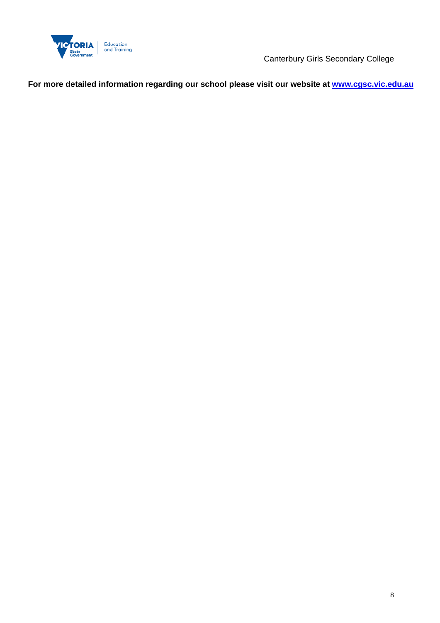

Canterbury Girls Secondary College

**For more detailed information regarding our school please visit our website at www.cgsc.vic.edu.au**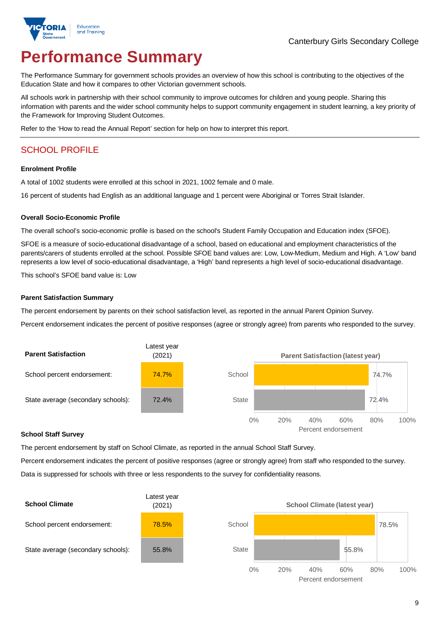

# **Performance Summary**

The Performance Summary for government schools provides an overview of how this school is contributing to the objectives of the Education State and how it compares to other Victorian government schools.

All schools work in partnership with their school community to improve outcomes for children and young people. Sharing this information with parents and the wider school community helps to support community engagement in student learning, a key priority of the Framework for Improving Student Outcomes.

Refer to the 'How to read the Annual Report' section for help on how to interpret this report.

## SCHOOL PROFILE

#### **Enrolment Profile**

A total of 1002 students were enrolled at this school in 2021, 1002 female and 0 male.

16 percent of students had English as an additional language and 1 percent were Aboriginal or Torres Strait Islander.

#### **Overall Socio-Economic Profile**

The overall school's socio-economic profile is based on the school's Student Family Occupation and Education index (SFOE).

SFOE is a measure of socio-educational disadvantage of a school, based on educational and employment characteristics of the parents/carers of students enrolled at the school. Possible SFOE band values are: Low, Low-Medium, Medium and High. A 'Low' band represents a low level of socio-educational disadvantage, a 'High' band represents a high level of socio-educational disadvantage.

This school's SFOE band value is: Low

#### **Parent Satisfaction Summary**

The percent endorsement by parents on their school satisfaction level, as reported in the annual Parent Opinion Survey.

Percent endorsement indicates the percent of positive responses (agree or strongly agree) from parents who responded to the survey.



#### **School Staff Survey**

The percent endorsement by staff on School Climate, as reported in the annual School Staff Survey.

Percent endorsement indicates the percent of positive responses (agree or strongly agree) from staff who responded to the survey. Data is suppressed for schools with three or less respondents to the survey for confidentiality reasons.

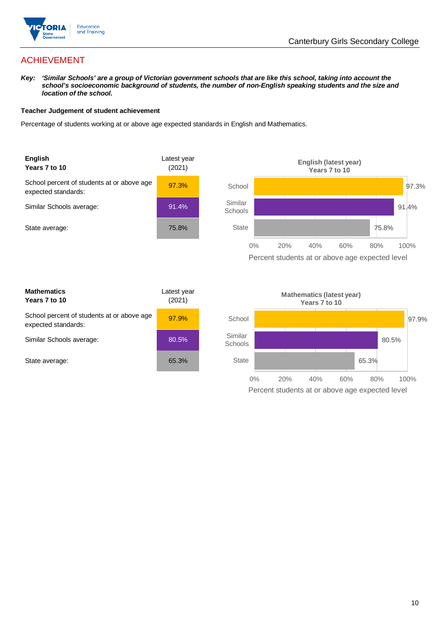

## ACHIEVEMENT

*Key: 'Similar Schools' are a group of Victorian government schools that are like this school, taking into account the*  school's socioeconomic background of students, the number of non-English speaking students and the size and *location of the school.*

#### **Teacher Judgement of student achievement**

Percentage of students working at or above age expected standards in English and Mathematics.



| <b>Mathematics</b><br>Years 7 to 10                               | Latest year<br>(2021) |  |
|-------------------------------------------------------------------|-----------------------|--|
| School percent of students at or above age<br>expected standards: | 97.9%                 |  |
| Similar Schools average:                                          | 80.5%                 |  |
| State average:                                                    | 65.3%                 |  |

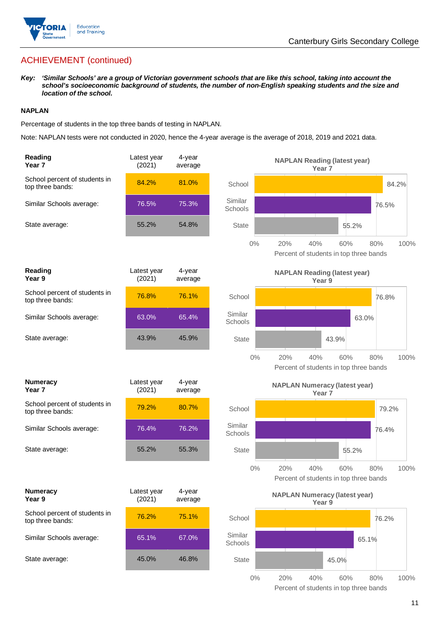

## ACHIEVEMENT (continued)

*Key: 'Similar Schools' are a group of Victorian government schools that are like this school, taking into account the school's socioeconomic background of students, the number of non-English speaking students and the size and location of the school.*

#### **NAPLAN**

Percentage of students in the top three bands of testing in NAPLAN.

Note: NAPLAN tests were not conducted in 2020, hence the 4-year average is the average of 2018, 2019 and 2021 data.

| Reading<br>Year 7                                 | Latest year<br>(2021) | 4-year<br>average |                    | <b>NAPLAN Reading (latest year)</b><br>Year <sub>7</sub>  |                                                              |
|---------------------------------------------------|-----------------------|-------------------|--------------------|-----------------------------------------------------------|--------------------------------------------------------------|
| School percent of students in<br>top three bands: | 84.2%                 | 81.0%             | School             |                                                           | 84.2%                                                        |
| Similar Schools average:                          | 76.5%                 | 75.3%             | Similar<br>Schools |                                                           | 76.5%                                                        |
| State average:                                    | 55.2%                 | 54.8%             | <b>State</b>       |                                                           | 55.2%                                                        |
|                                                   |                       |                   | 0%                 | 20%<br>40%<br>Percent of students in top three bands      | 60%<br>80%<br>100%                                           |
| Reading<br>Year 9                                 | Latest year<br>(2021) | 4-year<br>average |                    | <b>NAPLAN Reading (latest year)</b><br>Year 9             |                                                              |
| School percent of students in<br>top three bands: | 76.8%                 | 76.1%             | School             |                                                           | 76.8%                                                        |
| Similar Schools average:                          | 63.0%                 | 65.4%             | Similar<br>Schools |                                                           | 63.0%                                                        |
| State average:                                    | 43.9%                 | 45.9%             | <b>State</b>       |                                                           | 43.9%                                                        |
|                                                   |                       |                   | $0\%$              | 20%<br>40%                                                | 60%<br>100%<br>80%<br>Percent of students in top three bands |
| <b>Numeracy</b><br>Year <sub>7</sub>              | Latest year<br>(2021) | 4-year<br>average |                    | <b>NAPLAN Numeracy (latest year)</b><br>Year <sub>7</sub> |                                                              |
| School percent of students in<br>top three bands: | 79.2%                 | 80.7%             | School             |                                                           | 79.2%                                                        |
| Similar Schools average:                          | 76.4%                 | 76.2%             | Similar<br>Schools |                                                           | 76.4%                                                        |
| State average:                                    | 55.2%                 | 55.3%             | <b>State</b>       |                                                           | 55.2%                                                        |
|                                                   |                       |                   | $0\%$              | 40%<br>20%<br>Percent of students in top three bands      | 100%<br>60%<br>80%                                           |
| <b>Numeracy</b><br>Year 9                         | Latest year<br>(2021) | 4-year<br>average |                    | <b>NAPLAN Numeracy (latest year)</b><br>Year 9            |                                                              |
| School percent of students in<br>top three bands: | 76.2%                 | 75.1%             | School             |                                                           | 76.2%                                                        |
| Similar Schools average:                          | 65.1%                 | 67.0%             | Similar<br>Schools |                                                           | 65.1%                                                        |
| State average:                                    | 45.0%                 | 46.8%             | <b>State</b>       |                                                           | 45.0%                                                        |
|                                                   |                       |                   | $0\%$              | 20%<br>40%                                                | 80%<br>60%<br>100%                                           |

Percent of students in top three bands

11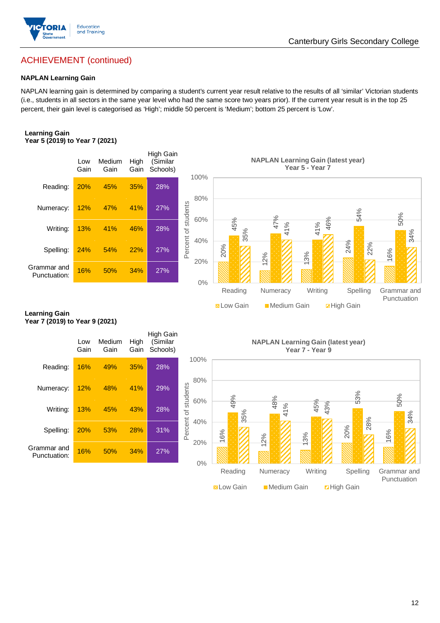

### Canterbury Girls Secondary College

## ACHIEVEMENT (continued)

#### **NAPLAN Learning Gain**

NAPLAN learning gain is determined by comparing a student's current year result relative to the results of all 'similar' Victorian students (i.e., students in all sectors in the same year level who had the same score two years prior). If the current year result is in the top 25 percent, their gain level is categorised as 'High'; middle 50 percent is 'Medium'; bottom 25 percent is 'Low'.

#### **Learning Gain Year 5 (2019) to Year 7 (2021)**



#### **Learning Gain Year 7 (2019) to Year 9 (2021)**

|                             | Low<br>Gain | Medium<br>Gain | High<br>Gain | High Gain<br>(Similar<br>Schools) |                                   |
|-----------------------------|-------------|----------------|--------------|-----------------------------------|-----------------------------------|
| Reading:                    | 16%         | 49%            | 35%          | 28%                               | 10 <sub>0</sub>                   |
| Numeracy:                   | 12%         | 48%            | 41%          | 29%                               | 8                                 |
| Writing:                    | 13%         | 45%            | 43%          | 28%                               | Percent of students<br>6(         |
| Spelling:                   | 20%         | 53%            | 28%          | 31%                               | 4(                                |
| Grammar and<br>Punctuation: | 16%         | 50%            | 34%          | 27%                               | 20<br>$\mathcal{L}_{\mathcal{L}}$ |

**NAPLAN Learning Gain (latest year) Year 7 - Year 9**

**Now Gain** Medium Gain **Example 18** 

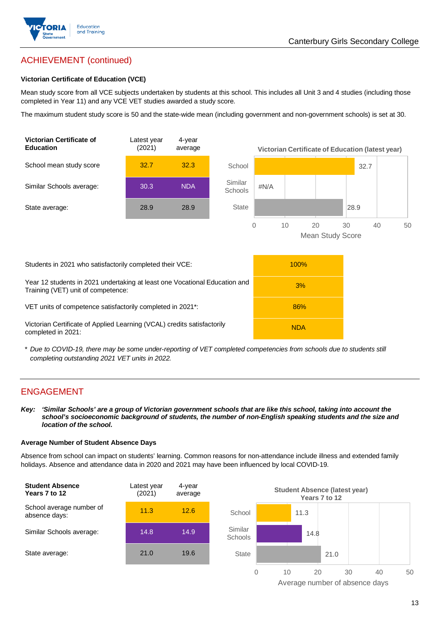

## ACHIEVEMENT (continued)

#### **Victorian Certificate of Education (VCE)**

Mean study score from all VCE subjects undertaken by students at this school. This includes all Unit 3 and 4 studies (including those completed in Year 11) and any VCE VET studies awarded a study score.

The maximum student study score is 50 and the state-wide mean (including government and non-government schools) is set at 30.



\* *Due to COVID-19, there may be some under-reporting of VET completed competencies from schools due to students still completing outstanding 2021 VET units in 2022.*

#### ENGAGEMENT

*Key: 'Similar Schools' are a group of Victorian government schools that are like this school, taking into account the school's socioeconomic background of students, the number of non-English speaking students and the size and location of the school.*

#### **Average Number of Student Absence Days**

Absence from school can impact on students' learning. Common reasons for non-attendance include illness and extended family holidays. Absence and attendance data in 2020 and 2021 may have been influenced by local COVID-19.



Average number of absence days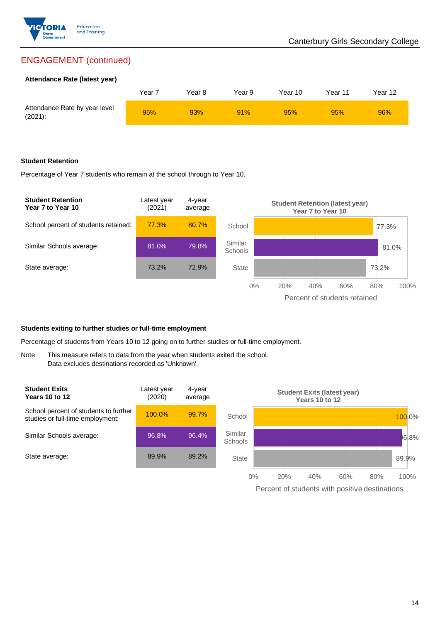

## ENGAGEMENT (continued)

#### **Attendance Rate (latest year)**

|                                             | Year <sup>:</sup> | Year 8 | Year 9 | Year 10 | Year 11 | Year 12 |
|---------------------------------------------|-------------------|--------|--------|---------|---------|---------|
| Attendance Rate by year level<br>$(2021)$ : | 95%               | 93%    | 91%    | 95%     | 95%     | 96%     |

#### **Student Retention**

Percentage of Year 7 students who remain at the school through to Year 10.



#### **Students exiting to further studies or full-time employment**

Percentage of students from Years 10 to 12 going on to further studies or full-time employment.

Note: This measure refers to data from the year when students exited the school. Data excludes destinations recorded as 'Unknown'.

| <b>Student Exits</b><br><b>Years 10 to 12</b>                             | Latest year<br>(2020) | 4-year<br>average |                           |     | <b>Years 10 to 12</b> | <b>Student Exits (latest year)</b> |     |         |
|---------------------------------------------------------------------------|-----------------------|-------------------|---------------------------|-----|-----------------------|------------------------------------|-----|---------|
| School percent of students to further<br>studies or full-time employment: | $100.0\%$             | 99.7%             | School                    |     |                       |                                    |     | 100.0%  |
| Similar Schools average:                                                  | 96.8%                 | 96.4%             | Similar<br><b>Schools</b> |     |                       |                                    |     | $6.8\%$ |
| State average:                                                            | 89.9%                 | 89.2%             | <b>State</b>              |     |                       |                                    |     | 89.9%   |
|                                                                           |                       |                   | $0\%$                     | 20% | 40%                   | 60%                                | 80% | 100%    |

Percent of students with positive destinations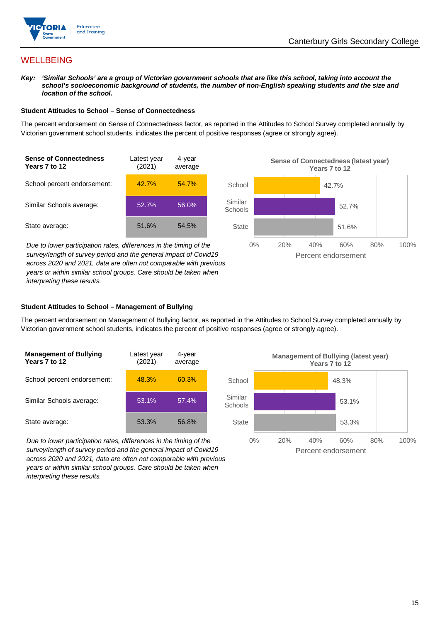

## **WELLBEING**

*Key: 'Similar Schools' are a group of Victorian government schools that are like this school, taking into account the*  school's socioeconomic background of students, the number of non-English speaking students and the size and *location of the school.*

#### **Student Attitudes to School – Sense of Connectedness**

The percent endorsement on Sense of Connectedness factor, as reported in the Attitudes to School Survey completed annually by Victorian government school students, indicates the percent of positive responses (agree or strongly agree).



*Due to lower participation rates, differences in the timing of the survey/length of survey period and the general impact of Covid19 across 2020 and 2021, data are often not comparable with previous years or within similar school groups. Care should be taken when interpreting these results.*



#### **Student Attitudes to School – Management of Bullying**

The percent endorsement on Management of Bullying factor, as reported in the Attitudes to School Survey completed annually by Victorian government school students, indicates the percent of positive responses (agree or strongly agree).

| <b>Management of Bullying</b><br>Years 7 to 12 | Latest year<br>(2021) | 4-year<br>average |  |
|------------------------------------------------|-----------------------|-------------------|--|
| School percent endorsement:                    | 48.3%                 | 60.3%             |  |
| Similar Schools average:                       | 53.1%                 | 57.4%             |  |
| State average:                                 | 53.3%                 | 56.8%             |  |

*Due to lower participation rates, differences in the timing of the survey/length of survey period and the general impact of Covid19 across 2020 and 2021, data are often not comparable with previous years or within similar school groups. Care should be taken when interpreting these results.*

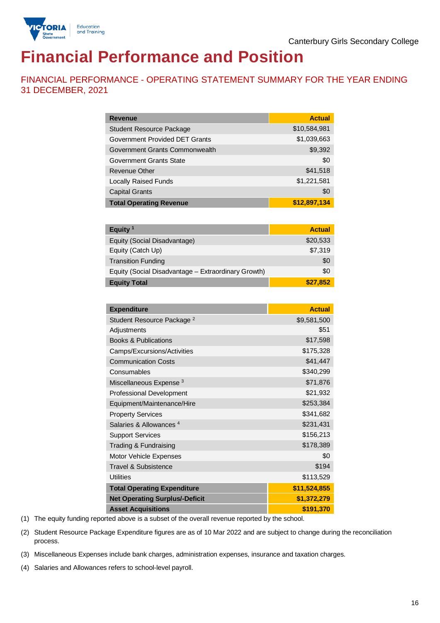

# **Financial Performance and Position**

FINANCIAL PERFORMANCE - OPERATING STATEMENT SUMMARY FOR THE YEAR ENDING 31 DECEMBER, 2021

| <b>Revenue</b>                  | <b>Actual</b> |
|---------------------------------|---------------|
| <b>Student Resource Package</b> | \$10,584,981  |
| Government Provided DET Grants  | \$1,039,663   |
| Government Grants Commonwealth  | \$9,392       |
| Government Grants State         | \$0           |
| <b>Revenue Other</b>            | \$41,518      |
| <b>Locally Raised Funds</b>     | \$1,221,581   |
| <b>Capital Grants</b>           | \$0           |
| <b>Total Operating Revenue</b>  | \$12,897,134  |

| Equity <sup>1</sup>                                 | <b>Actual</b> |
|-----------------------------------------------------|---------------|
| Equity (Social Disadvantage)                        | \$20,533      |
| Equity (Catch Up)                                   | \$7,319       |
| <b>Transition Funding</b>                           | \$0           |
| Equity (Social Disadvantage - Extraordinary Growth) | \$0           |
| <b>Equity Total</b>                                 | \$27,852      |

| <b>Expenditure</b>                    | <b>Actual</b> |
|---------------------------------------|---------------|
| Student Resource Package <sup>2</sup> | \$9,581,500   |
| Adjustments                           | \$51          |
| <b>Books &amp; Publications</b>       | \$17,598      |
| Camps/Excursions/Activities           | \$175,328     |
| <b>Communication Costs</b>            | \$41,447      |
| Consumables                           | \$340,299     |
| Miscellaneous Expense <sup>3</sup>    | \$71,876      |
| <b>Professional Development</b>       | \$21,932      |
| Equipment/Maintenance/Hire            | \$253,384     |
| <b>Property Services</b>              | \$341,682     |
| Salaries & Allowances <sup>4</sup>    | \$231,431     |
| <b>Support Services</b>               | \$156,213     |
| Trading & Fundraising                 | \$178,389     |
| Motor Vehicle Expenses                | \$0           |
| <b>Travel &amp; Subsistence</b>       | \$194         |
| <b>Utilities</b>                      | \$113,529     |
| <b>Total Operating Expenditure</b>    | \$11,524,855  |
| <b>Net Operating Surplus/-Deficit</b> | \$1,372,279   |
| <b>Asset Acquisitions</b>             | \$191,370     |

(1) The equity funding reported above is a subset of the overall revenue reported by the school.

(2) Student Resource Package Expenditure figures are as of 10 Mar 2022 and are subject to change during the reconciliation process.

(3) Miscellaneous Expenses include bank charges, administration expenses, insurance and taxation charges.

(4) Salaries and Allowances refers to school-level payroll.